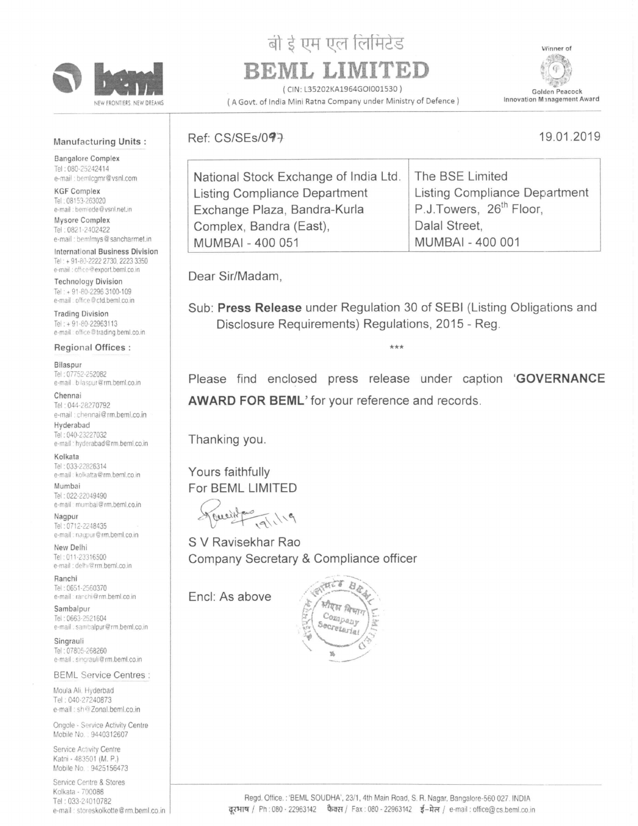

बी डे एम एल लिमिटेड

## BEML LIMI

(CIN: L35202KA1964GOI001530) (A Govt. of India Mini Ratna Company under Ministry of Defence)



## **Manufacturing Units:**

**Bangalore Complex** Tel: 080-25242414 e-mail: bemlcgmr@vsnl.com

**KGF Complex** Tel: 08153-263020 e-mail: bemlede@ysnl.net.in

Mysore Complex Tel: 0821-2402422 e-mail: bemlmys@sancharmet.in

International Business Division Tel: + 91-80-2222 2730, 2223 3350 e-mail: office@export.beml.co.in

**Technology Division** Tel: + 91-80-2296 3100-109 e-mail : office@ctd.beml.co.in

**Trading Division** Tel: +91-80-22963113 e-mail: office@trading.beml.co.in

**Regional Offices:** 

Bilaspur Tel: 07752-252082 e-mail blaspur@rm.beml.co.in

Chennai Tel: 044-28270792 e-mail : chennai@rm.beml.co.in

Hyderabad Tel: 040-23227032 e-mail: hyderabad@rm.beml.co.in

Kolkata Tel: 033-22826314 e-mail : kolkatta@rm.beml.co.in

Mumbai Tel: 022-22049490 e-mail mumbai@rm,beml.co.in

Nagpur Tel: 0712-2248435 e-mail : nagpur@rm.beml.co.in

New Delhi Tel: 011-23316500 e-mail: delhi@rm.beml.co.in

Ranchi Tel: 0651-2560370 e-mail : ranchi@rm.beml.co.in

Sambalpur Tel: 0663-2521604 e-mail : sambalpur@rm.beml.co.in

Singrauli Tel: 07805-268260 e-mail : singrauli@rm.beml.co.in

**BEML Service Centres:** 

Moula Ali. Hyderbad Tel: 040-27240873 e-mail: sh@Zonal.beml.co.in

Ongole - Service Activity Centre Mobile No.: 9440312607

Service Activity Centre Katni - 483501 (M. P.) Mobile No.: 9425156473

Service Centre & Stores Kolkata - 700088 Tel: 033-24010782 e-mail : storeskolkotte@rm.beml.co.in

## Ref: CS/SEs/097

**Listing Compliance Department** 

Exchange Plaza, Bandra-Kurla

Complex, Bandra (East),

National Stock Exchange of India Ltd. The BSE Limited Listing Compliance Department P.J.Towers, 26<sup>th</sup> Floor, Dalal Street. MUMBAI - 400 001

Dear Sir/Madam,

MUMBAI - 400 051

Sub: Press Release under Regulation 30 of SEBI (Listing Obligations and Disclosure Requirements) Regulations, 2015 - Reg.

\*\*\*

Please find enclosed press release under caption 'GOVERNANCE AWARD FOR BEML' for your reference and records.

Thanking you.

Yours faithfully For BEML LIMITED

 $\sqrt{9}$ 

S V Ravisekhar Rao Company Secretary & Compliance officer

Encl: As above



19.01.2019